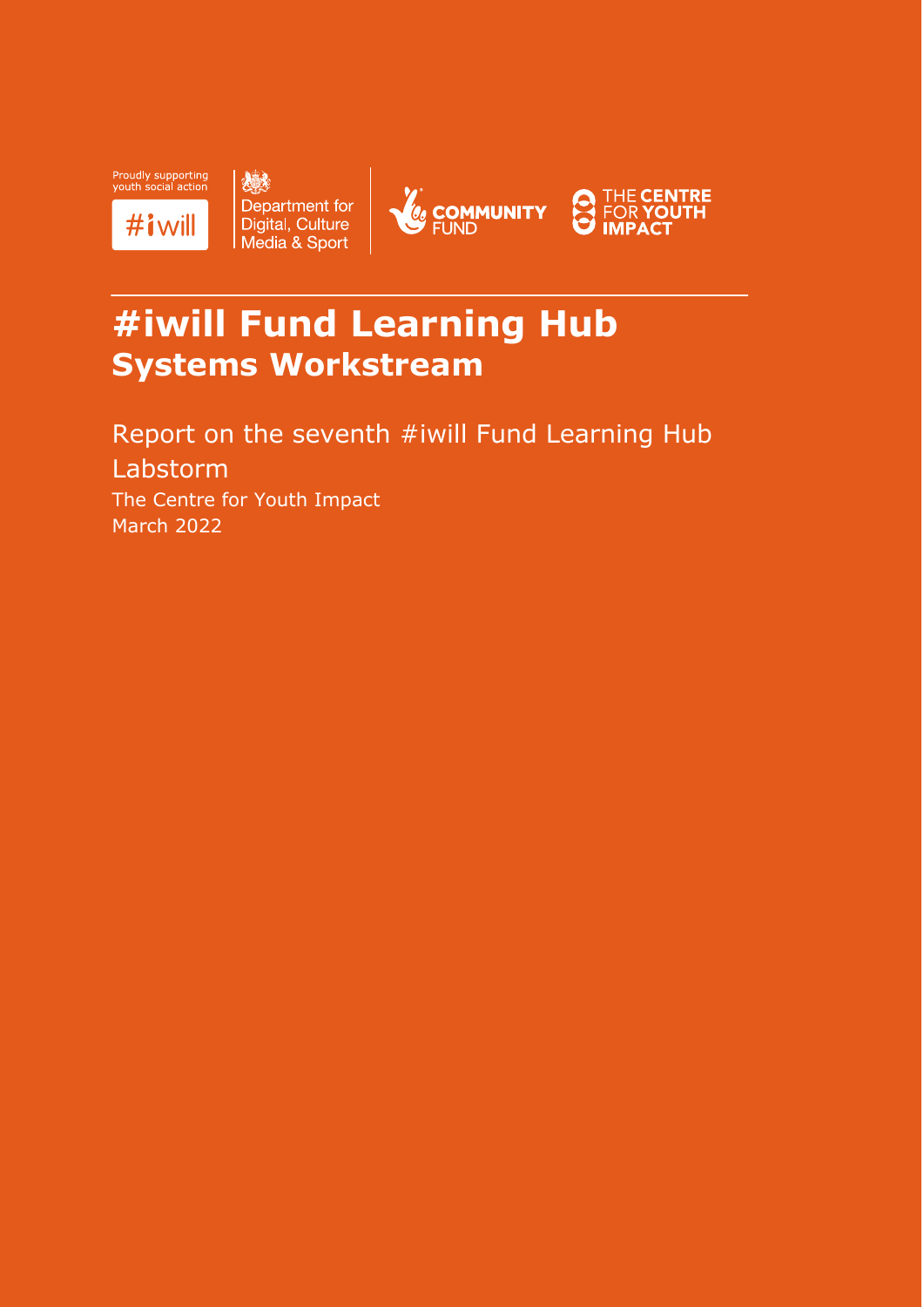

人民 Department for<br>Digital, Culture<br>Media & Sport





# **#iwill Fund Learning Hub Systems Workstream**

Report on the seventh #iwill Fund Learning Hub Labstorm The Centre for Youth Impact March 2022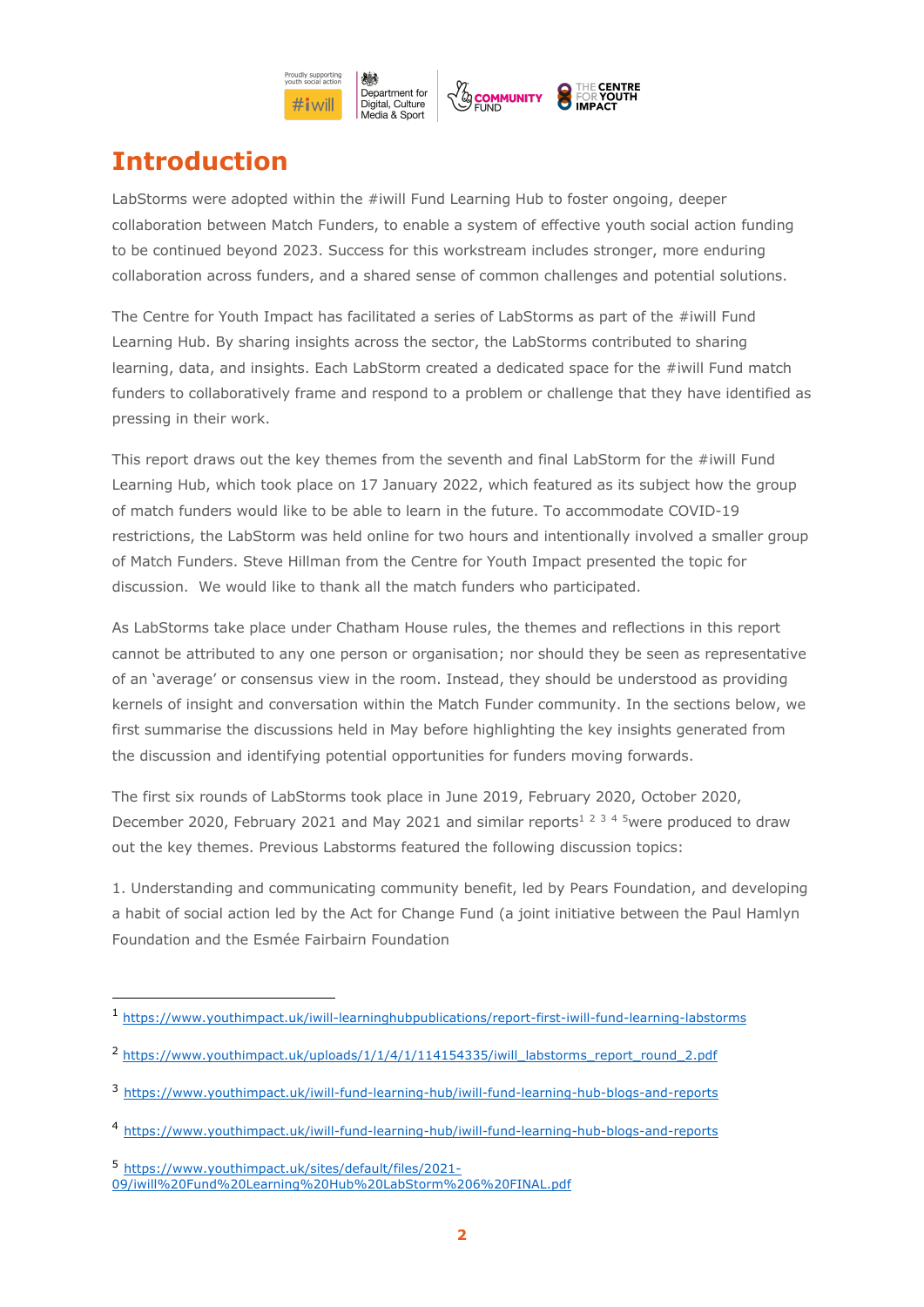

# **Introduction**

LabStorms were adopted within the #iwill Fund Learning Hub to foster ongoing, deeper collaboration between Match Funders, to enable a system of effective youth social action funding to be continued beyond 2023. Success for this workstream includes stronger, more enduring collaboration across funders, and a shared sense of common challenges and potential solutions.

The Centre for Youth Impact has facilitated a series of LabStorms as part of the #iwill Fund Learning Hub. By sharing insights across the sector, the LabStorms contributed to sharing learning, data, and insights. Each LabStorm created a dedicated space for the #iwill Fund match funders to collaboratively frame and respond to a problem or challenge that they have identified as pressing in their work.

This report draws out the key themes from the seventh and final LabStorm for the #iwill Fund Learning Hub, which took place on 17 January 2022, which featured as its subject how the group of match funders would like to be able to learn in the future. To accommodate COVID-19 restrictions, the LabStorm was held online for two hours and intentionally involved a smaller group of Match Funders. Steve Hillman from the Centre for Youth Impact presented the topic for discussion. We would like to thank all the match funders who participated.

As LabStorms take place under Chatham House rules, the themes and reflections in this report cannot be attributed to any one person or organisation; nor should they be seen as representative of an 'average' or consensus view in the room. Instead, they should be understood as providing kernels of insight and conversation within the Match Funder community. In the sections below, we first summarise the discussions held in May before highlighting the key insights generated from the discussion and identifying potential opportunities for funders moving forwards.

The first six rounds of LabStorms took place in June 2019, February 2020, October 2020, December 2020, February 2021 and May 2021 and similar reports<sup>1 2 3 4 5</sup>were produced to draw out the key themes. Previous Labstorms featured the following discussion topics:

1. Understanding and communicating community benefit, led by Pears Foundation, and developing a habit of social action led by the Act for Change Fund (a joint initiative between the Paul Hamlyn Foundation and the Esmée Fairbairn Foundation

<sup>1</sup> https://www.youthimpact.uk/iwill-learninghubpublications/report-first-iwill-fund-learning-labstorms

<sup>&</sup>lt;sup>2</sup> https://www.youthimpact.uk/uploads/1/1/4/1/114154335/iwill\_labstorms\_report\_round\_2.pdf

<sup>3</sup> https://www.youthimpact.uk/iwill-fund-learning-hub/iwill-fund-learning-hub-blogs-and-reports

<sup>4</sup> https://www.youthimpact.uk/iwill-fund-learning-hub/iwill-fund-learning-hub-blogs-and-reports

<sup>5</sup> https://www.youthimpact.uk/sites/default/files/2021- 09/iwill%20Fund%20Learning%20Hub%20LabStorm%206%20FINAL.pdf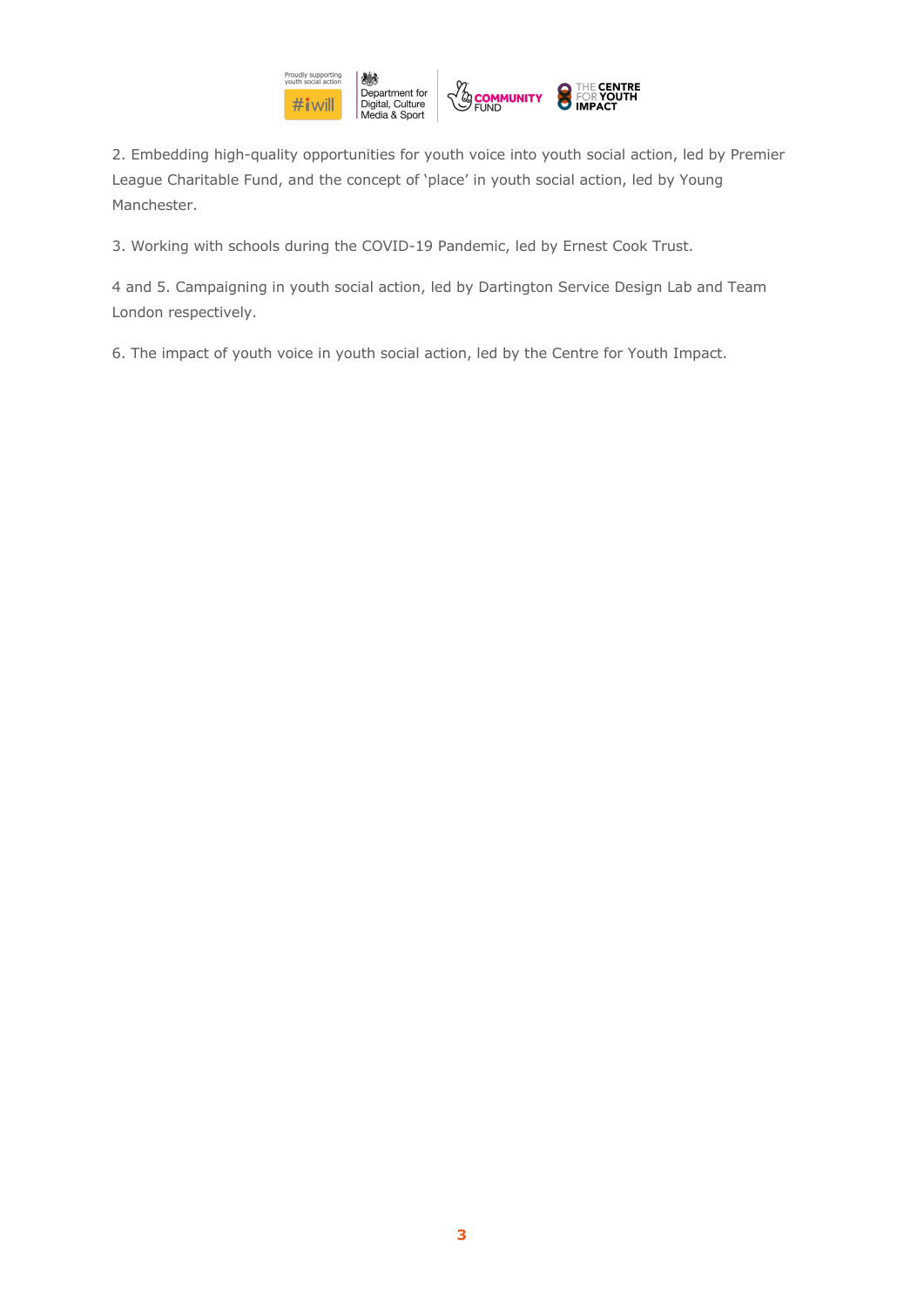

2. Embedding high-quality opportunities for youth voice into youth social action, led by Premier League Charitable Fund, and the concept of 'place' in youth social action, led by Young Manchester.

3. Working with schools during the COVID-19 Pandemic, led by Ernest Cook Trust.

4 and 5. Campaigning in youth social action, led by Dartington Service Design Lab and Team London respectively.

6. The impact of youth voice in youth social action, led by the Centre for Youth Impact.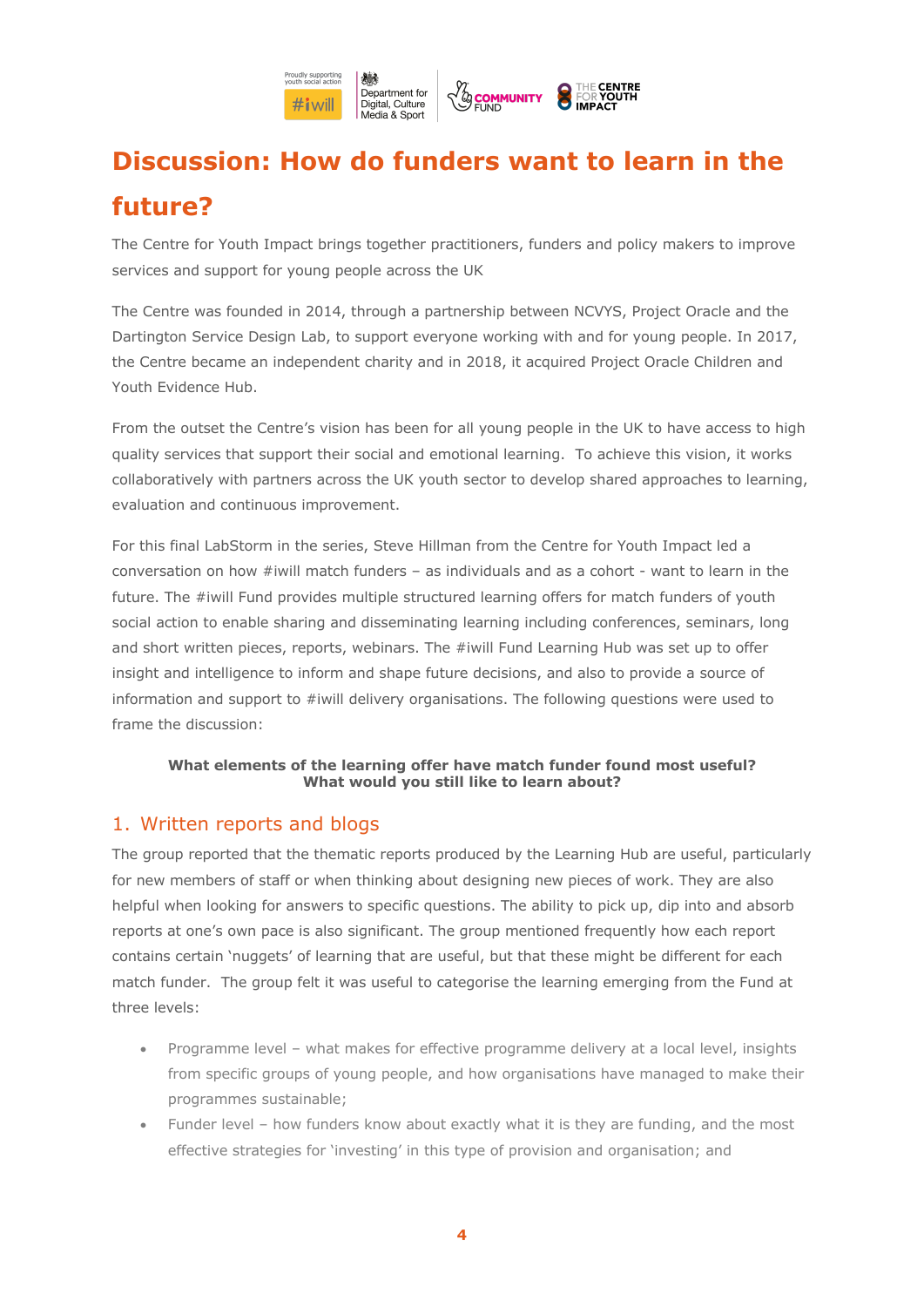

# **Discussion: How do funders want to learn in the future?**

The Centre for Youth Impact brings together practitioners, funders and policy makers to improve services and support for young people across the UK

The Centre was founded in 2014, through a partnership between NCVYS, Project Oracle and the Dartington Service Design Lab, to support everyone working with and for young people. In 2017, the Centre became an independent charity and in 2018, it acquired Project Oracle Children and Youth Evidence Hub.

From the outset the Centre's vision has been for all young people in the UK to have access to high quality services that support their social and emotional learning. To achieve this vision, it works collaboratively with partners across the UK youth sector to develop shared approaches to learning, evaluation and continuous improvement.

For this final LabStorm in the series, Steve Hillman from the Centre for Youth Impact led a conversation on how #iwill match funders – as individuals and as a cohort - want to learn in the future. The #iwill Fund provides multiple structured learning offers for match funders of youth social action to enable sharing and disseminating learning including conferences, seminars, long and short written pieces, reports, webinars. The #iwill Fund Learning Hub was set up to offer insight and intelligence to inform and shape future decisions, and also to provide a source of information and support to #iwill delivery organisations. The following questions were used to frame the discussion:

#### **What elements of the learning offer have match funder found most useful? What would you still like to learn about?**

#### 1. Written reports and blogs

The group reported that the thematic reports produced by the Learning Hub are useful, particularly for new members of staff or when thinking about designing new pieces of work. They are also helpful when looking for answers to specific questions. The ability to pick up, dip into and absorb reports at one's own pace is also significant. The group mentioned frequently how each report contains certain 'nuggets' of learning that are useful, but that these might be different for each match funder. The group felt it was useful to categorise the learning emerging from the Fund at three levels:

- Programme level what makes for effective programme delivery at a local level, insights from specific groups of young people, and how organisations have managed to make their programmes sustainable;
- Funder level how funders know about exactly what it is they are funding, and the most effective strategies for 'investing' in this type of provision and organisation; and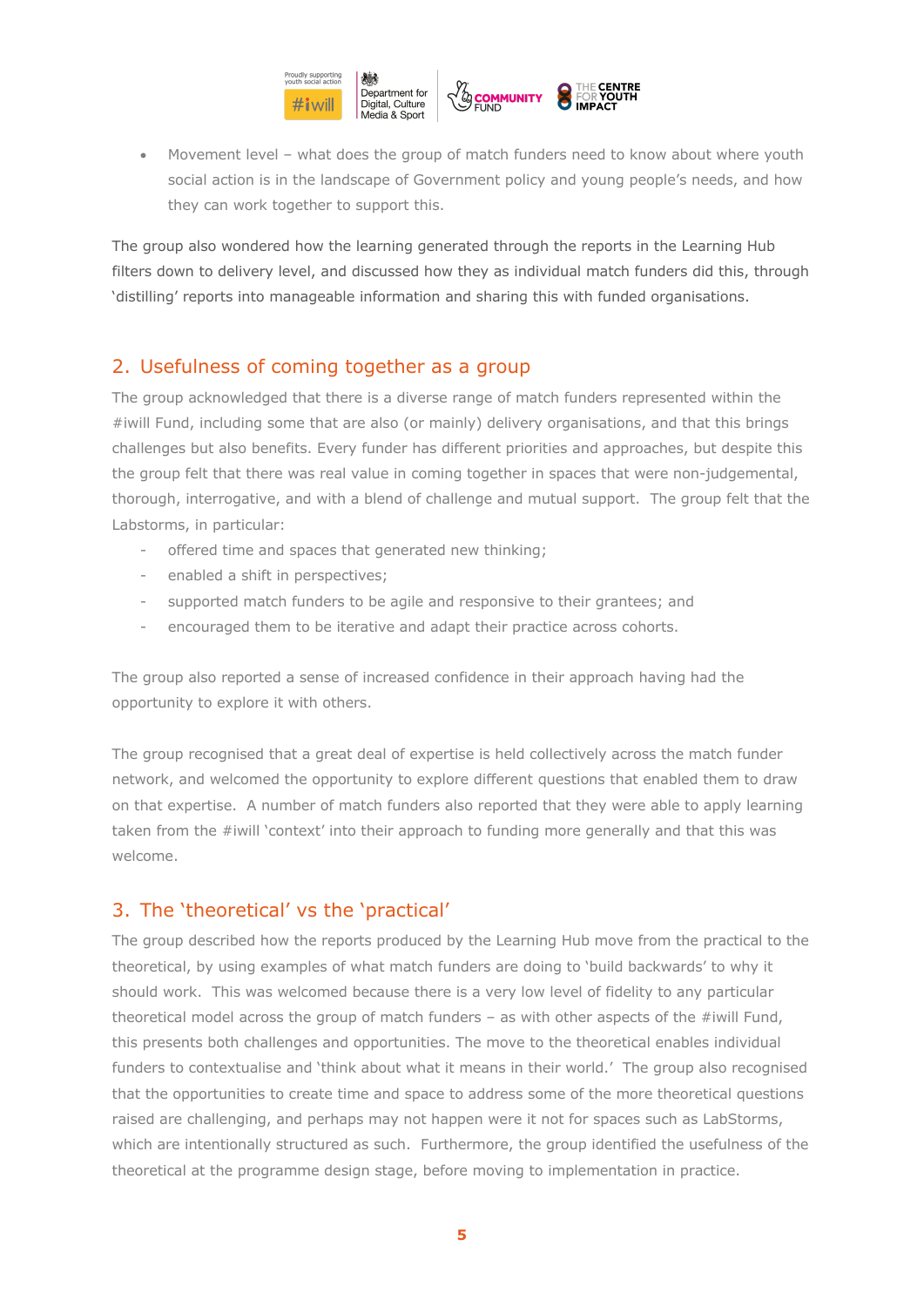

• Movement level – what does the group of match funders need to know about where youth social action is in the landscape of Government policy and young people's needs, and how they can work together to support this.

The group also wondered how the learning generated through the reports in the Learning Hub filters down to delivery level, and discussed how they as individual match funders did this, through 'distilling' reports into manageable information and sharing this with funded organisations.

### 2. Usefulness of coming together as a group

The group acknowledged that there is a diverse range of match funders represented within the #iwill Fund, including some that are also (or mainly) delivery organisations, and that this brings challenges but also benefits. Every funder has different priorities and approaches, but despite this the group felt that there was real value in coming together in spaces that were non-judgemental, thorough, interrogative, and with a blend of challenge and mutual support. The group felt that the Labstorms, in particular:

- offered time and spaces that generated new thinking;
- enabled a shift in perspectives;
- supported match funders to be agile and responsive to their grantees; and
- encouraged them to be iterative and adapt their practice across cohorts.

The group also reported a sense of increased confidence in their approach having had the opportunity to explore it with others.

The group recognised that a great deal of expertise is held collectively across the match funder network, and welcomed the opportunity to explore different questions that enabled them to draw on that expertise. A number of match funders also reported that they were able to apply learning taken from the #iwill 'context' into their approach to funding more generally and that this was welcome.

### 3. The 'theoretical' vs the 'practical'

The group described how the reports produced by the Learning Hub move from the practical to the theoretical, by using examples of what match funders are doing to 'build backwards' to why it should work. This was welcomed because there is a very low level of fidelity to any particular theoretical model across the group of match funders  $-$  as with other aspects of the #iwill Fund, this presents both challenges and opportunities. The move to the theoretical enables individual funders to contextualise and 'think about what it means in their world.' The group also recognised that the opportunities to create time and space to address some of the more theoretical questions raised are challenging, and perhaps may not happen were it not for spaces such as LabStorms, which are intentionally structured as such. Furthermore, the group identified the usefulness of the theoretical at the programme design stage, before moving to implementation in practice.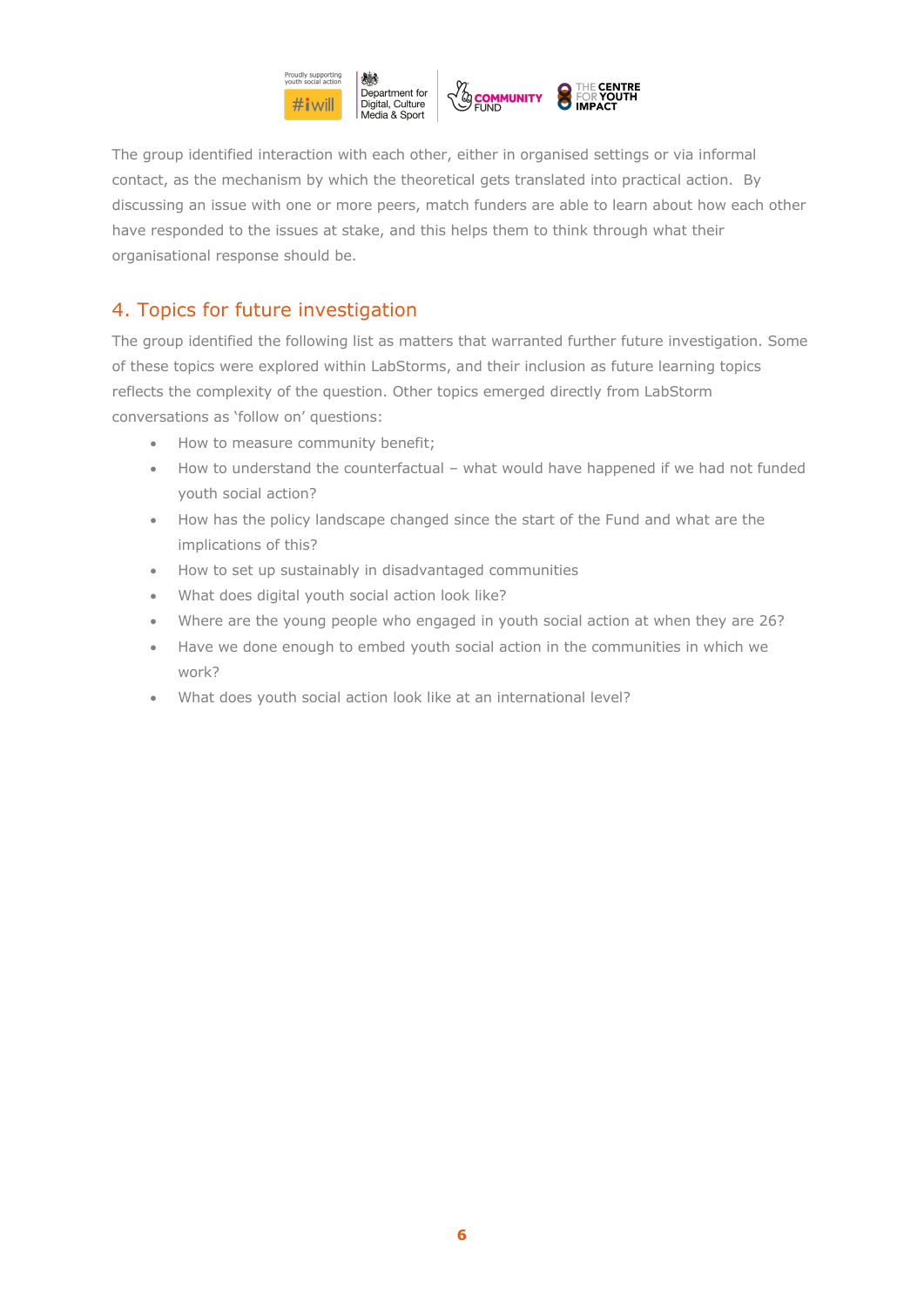

The group identified interaction with each other, either in organised settings or via informal contact, as the mechanism by which the theoretical gets translated into practical action. By discussing an issue with one or more peers, match funders are able to learn about how each other have responded to the issues at stake, and this helps them to think through what their organisational response should be.

### 4. Topics for future investigation

The group identified the following list as matters that warranted further future investigation. Some of these topics were explored within LabStorms, and their inclusion as future learning topics reflects the complexity of the question. Other topics emerged directly from LabStorm conversations as 'follow on' questions:

- How to measure community benefit;
- How to understand the counterfactual what would have happened if we had not funded youth social action?
- How has the policy landscape changed since the start of the Fund and what are the implications of this?
- How to set up sustainably in disadvantaged communities
- What does digital youth social action look like?
- Where are the young people who engaged in youth social action at when they are 26?
- Have we done enough to embed youth social action in the communities in which we work?
- What does youth social action look like at an international level?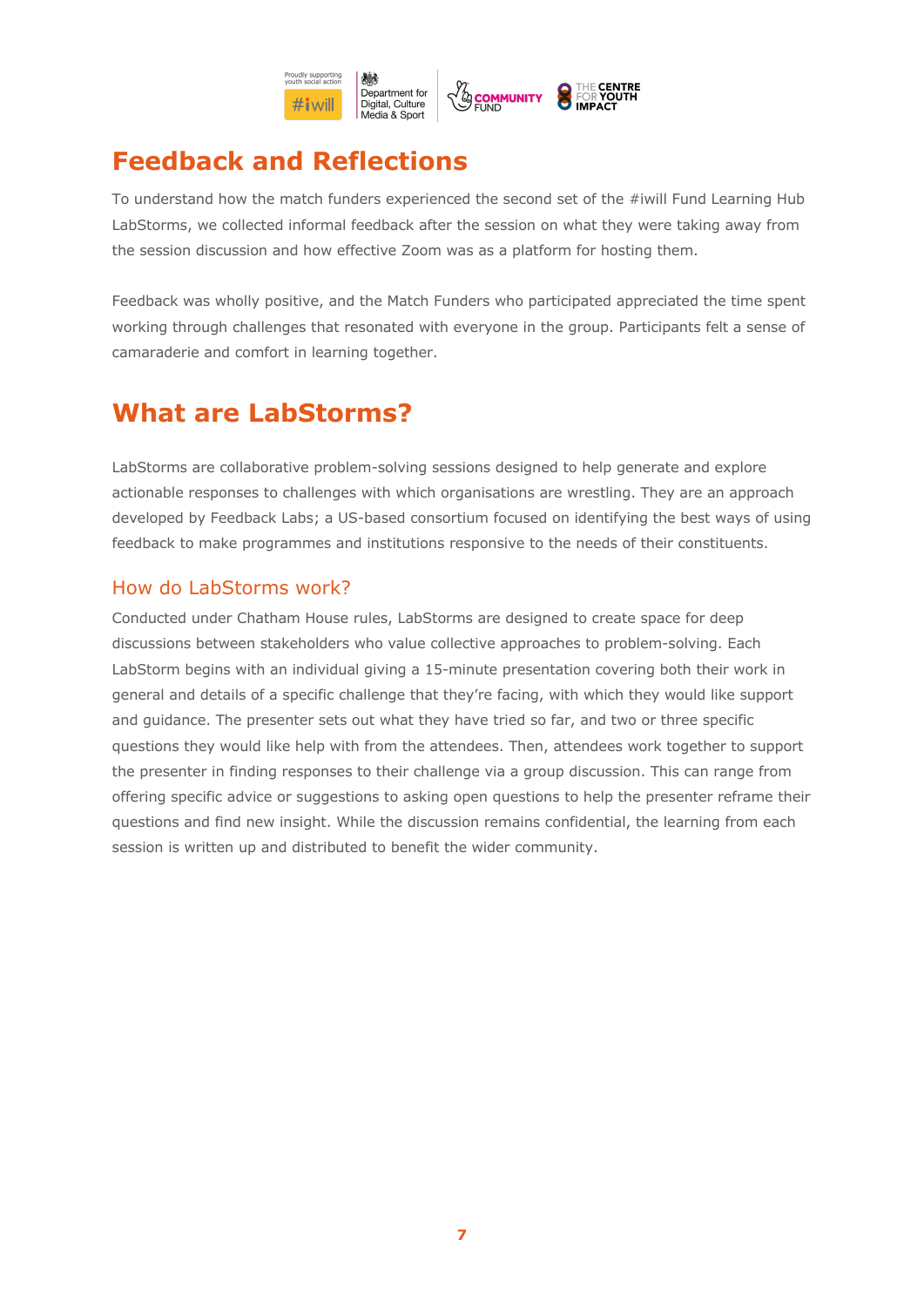

# **Feedback and Reflections**

To understand how the match funders experienced the second set of the #iwill Fund Learning Hub LabStorms, we collected informal feedback after the session on what they were taking away from the session discussion and how effective Zoom was as a platform for hosting them.

Feedback was wholly positive, and the Match Funders who participated appreciated the time spent working through challenges that resonated with everyone in the group. Participants felt a sense of camaraderie and comfort in learning together.

## **What are LabStorms?**

LabStorms are collaborative problem-solving sessions designed to help generate and explore actionable responses to challenges with which organisations are wrestling. They are an approach developed by Feedback Labs; a US-based consortium focused on identifying the best ways of using feedback to make programmes and institutions responsive to the needs of their constituents.

### How do LabStorms work?

Conducted under Chatham House rules, LabStorms are designed to create space for deep discussions between stakeholders who value collective approaches to problem-solving. Each LabStorm begins with an individual giving a 15-minute presentation covering both their work in general and details of a specific challenge that they're facing, with which they would like support and guidance. The presenter sets out what they have tried so far, and two or three specific questions they would like help with from the attendees. Then, attendees work together to support the presenter in finding responses to their challenge via a group discussion. This can range from offering specific advice or suggestions to asking open questions to help the presenter reframe their questions and find new insight. While the discussion remains confidential, the learning from each session is written up and distributed to benefit the wider community.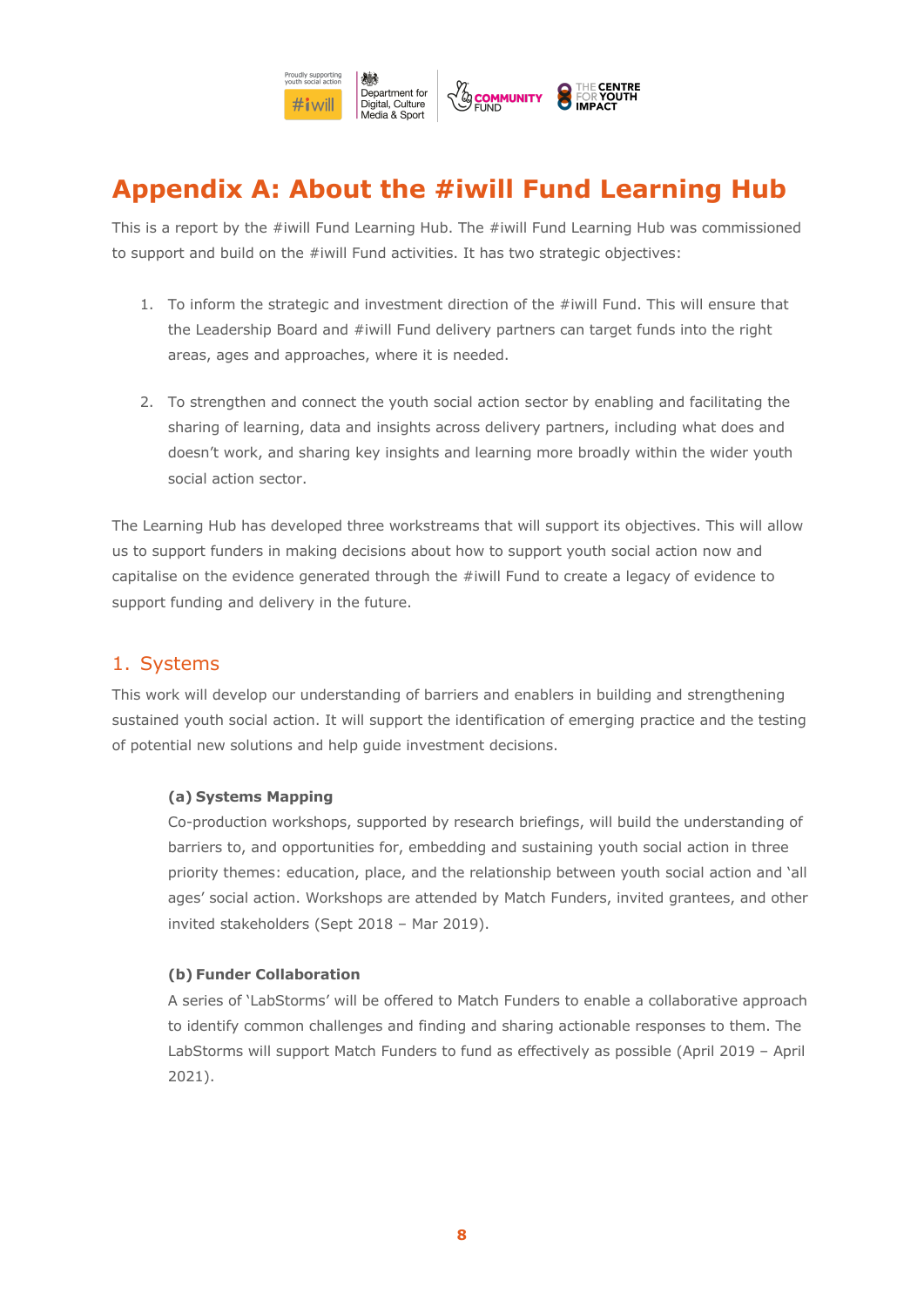

# **Appendix A: About the #iwill Fund Learning Hub**

This is a report by the #iwill Fund Learning Hub. The #iwill Fund Learning Hub was commissioned to support and build on the #iwill Fund activities. It has two strategic objectives:

- 1. To inform the strategic and investment direction of the #iwill Fund. This will ensure that the Leadership Board and #iwill Fund delivery partners can target funds into the right areas, ages and approaches, where it is needed.
- 2. To strengthen and connect the youth social action sector by enabling and facilitating the sharing of learning, data and insights across delivery partners, including what does and doesn't work, and sharing key insights and learning more broadly within the wider youth social action sector.

The Learning Hub has developed three workstreams that will support its objectives. This will allow us to support funders in making decisions about how to support youth social action now and capitalise on the evidence generated through the #iwill Fund to create a legacy of evidence to support funding and delivery in the future.

### 1. Systems

This work will develop our understanding of barriers and enablers in building and strengthening sustained youth social action. It will support the identification of emerging practice and the testing of potential new solutions and help guide investment decisions.

#### **(a) Systems Mapping**

Co-production workshops, supported by research briefings, will build the understanding of barriers to, and opportunities for, embedding and sustaining youth social action in three priority themes: education, place, and the relationship between youth social action and 'all ages' social action. Workshops are attended by Match Funders, invited grantees, and other invited stakeholders (Sept 2018 – Mar 2019).

#### **(b) Funder Collaboration**

A series of 'LabStorms' will be offered to Match Funders to enable a collaborative approach to identify common challenges and finding and sharing actionable responses to them. The LabStorms will support Match Funders to fund as effectively as possible (April 2019 – April 2021).